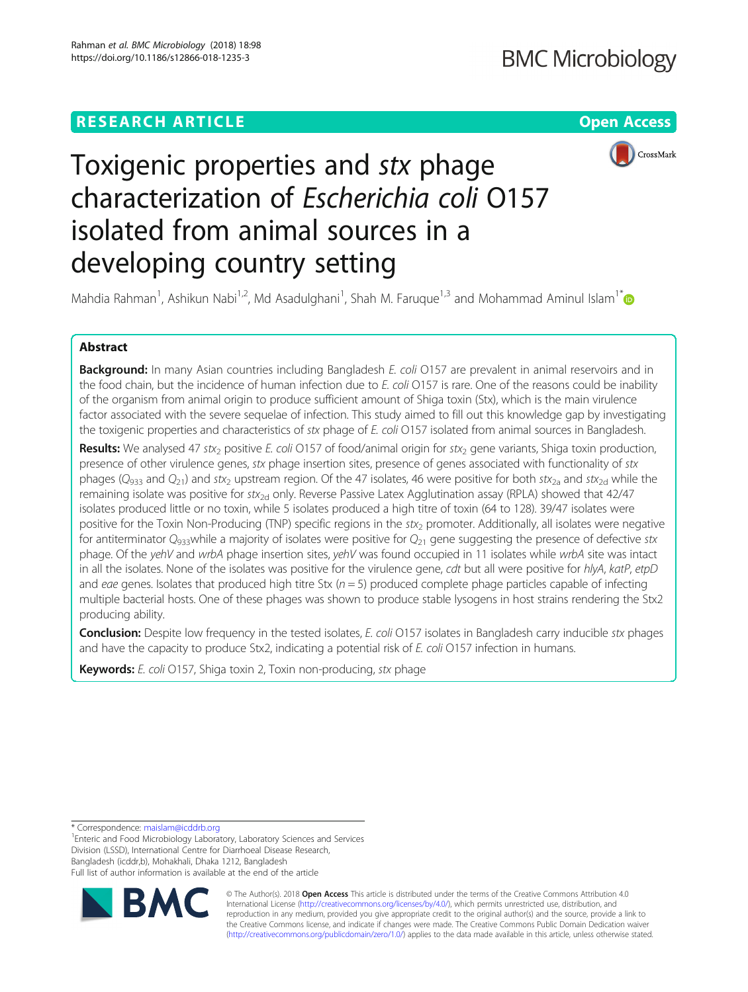## **RESEARCH ARTICLE Example 2018 12:30 THE Open Access**



# Toxigenic properties and stx phage characterization of Escherichia coli O157 isolated from animal sources in a developing country setting

Mahdia Rahman<sup>1</sup>, Ashikun Nabi<sup>1,2</sup>, Md Asadulghani<sup>1</sup>, Shah M. Faruque<sup>1,3</sup> and Mohammad Aminul Islam<sup>1\*</sup>

## Abstract

Background: In many Asian countries including Bangladesh E. coli O157 are prevalent in animal reservoirs and in the food chain, but the incidence of human infection due to E. coli O157 is rare. One of the reasons could be inability of the organism from animal origin to produce sufficient amount of Shiga toxin (Stx), which is the main virulence factor associated with the severe sequelae of infection. This study aimed to fill out this knowledge gap by investigating the toxigenic properties and characteristics of stx phage of E. coli O157 isolated from animal sources in Bangladesh.

Results: We analysed 47 stx<sub>2</sub> positive E. coli O157 of food/animal origin for stx<sub>2</sub> gene variants, Shiga toxin production, presence of other virulence genes, stx phage insertion sites, presence of genes associated with functionality of stx phages ( $Q_{933}$  and  $Q_{21}$ ) and stx<sub>2</sub> upstream region. Of the 47 isolates, 46 were positive for both stx<sub>2a</sub> and stx<sub>2d</sub> while the remaining isolate was positive for stx<sub>2d</sub> only. Reverse Passive Latex Agglutination assay (RPLA) showed that  $42/47$ isolates produced little or no toxin, while 5 isolates produced a high titre of toxin (64 to 128). 39/47 isolates were positive for the Toxin Non-Producing (TNP) specific regions in the  $stx_2$  promoter. Additionally, all isolates were negative for antiterminator  $Q_{933}$ while a majority of isolates were positive for  $Q_{21}$  gene suggesting the presence of defective stx phage. Of the yehV and wrbA phage insertion sites, yehV was found occupied in 11 isolates while wrbA site was intact in all the isolates. None of the isolates was positive for the virulence gene, cdt but all were positive for hlyA, katP, etpD and eae genes. Isolates that produced high titre Stx  $(n = 5)$  produced complete phage particles capable of infecting multiple bacterial hosts. One of these phages was shown to produce stable lysogens in host strains rendering the Stx2 producing ability.

Conclusion: Despite low frequency in the tested isolates, E. coli O157 isolates in Bangladesh carry inducible stx phages and have the capacity to produce Stx2, indicating a potential risk of E. coli O157 infection in humans.

Keywords: E. coli O157, Shiga toxin 2, Toxin non-producing, stx phage

\* Correspondence: [maislam@icddrb.org](mailto:maislam@icddrb.org) <sup>1</sup>

<sup>1</sup>Enteric and Food Microbiology Laboratory, Laboratory Sciences and Services Division (LSSD), International Centre for Diarrhoeal Disease Research, Bangladesh (icddr,b), Mohakhali, Dhaka 1212, Bangladesh Full list of author information is available at the end of the article



© The Author(s). 2018 Open Access This article is distributed under the terms of the Creative Commons Attribution 4.0 International License [\(http://creativecommons.org/licenses/by/4.0/](http://creativecommons.org/licenses/by/4.0/)), which permits unrestricted use, distribution, and reproduction in any medium, provided you give appropriate credit to the original author(s) and the source, provide a link to the Creative Commons license, and indicate if changes were made. The Creative Commons Public Domain Dedication waiver [\(http://creativecommons.org/publicdomain/zero/1.0/](http://creativecommons.org/publicdomain/zero/1.0/)) applies to the data made available in this article, unless otherwise stated.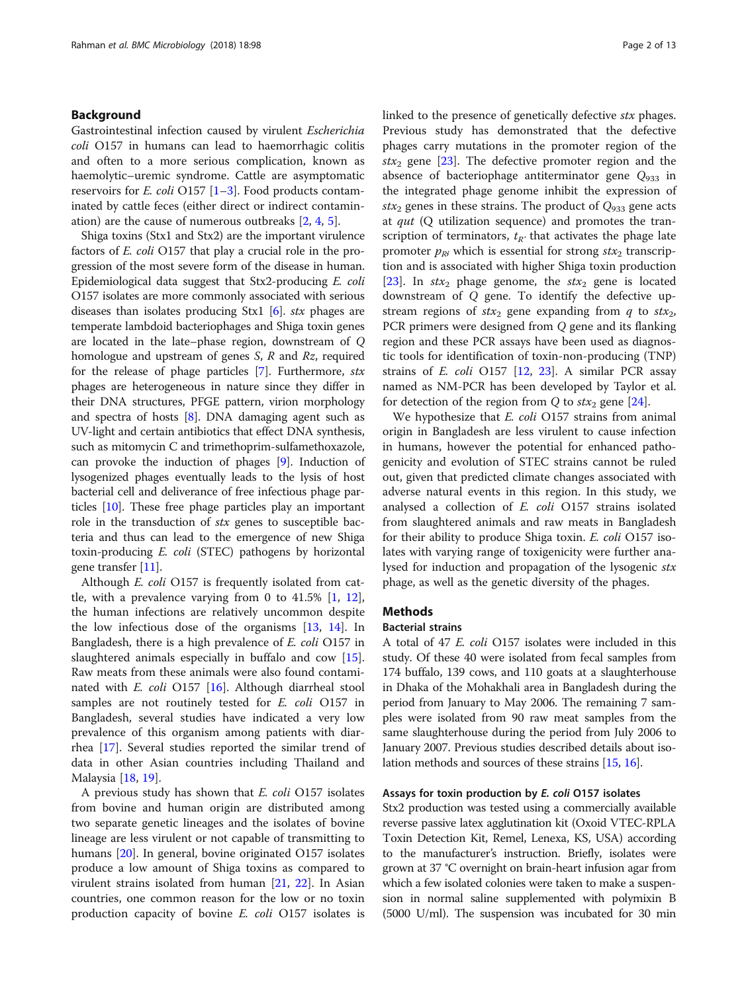## Background

Gastrointestinal infection caused by virulent Escherichia coli O157 in humans can lead to haemorrhagic colitis and often to a more serious complication, known as haemolytic–uremic syndrome. Cattle are asymptomatic reservoirs for *E. coli* O157  $[1-3]$  $[1-3]$  $[1-3]$ . Food products contaminated by cattle feces (either direct or indirect contamination) are the cause of numerous outbreaks [\[2,](#page-10-0) [4,](#page-10-0) [5](#page-10-0)].

Shiga toxins (Stx1 and Stx2) are the important virulence factors of E. coli O157 that play a crucial role in the progression of the most severe form of the disease in human. Epidemiological data suggest that Stx2-producing E. coli O157 isolates are more commonly associated with serious diseases than isolates producing Stx1 [\[6](#page-10-0)]. stx phages are temperate lambdoid bacteriophages and Shiga toxin genes are located in the late–phase region, downstream of Q homologue and upstream of genes  $S$ ,  $R$  and  $Rz$ , required for the release of phage particles [\[7\]](#page-10-0). Furthermore,  $stx$ phages are heterogeneous in nature since they differ in their DNA structures, PFGE pattern, virion morphology and spectra of hosts [[8\]](#page-10-0). DNA damaging agent such as UV-light and certain antibiotics that effect DNA synthesis, such as mitomycin C and trimethoprim-sulfamethoxazole, can provoke the induction of phages [\[9](#page-10-0)]. Induction of lysogenized phages eventually leads to the lysis of host bacterial cell and deliverance of free infectious phage particles [\[10\]](#page-10-0). These free phage particles play an important role in the transduction of stx genes to susceptible bacteria and thus can lead to the emergence of new Shiga toxin-producing E. coli (STEC) pathogens by horizontal gene transfer [\[11\]](#page-10-0).

Although *E. coli* O157 is frequently isolated from cattle, with a prevalence varying from 0 to  $41.5\%$  [[1,](#page-10-0) [12](#page-10-0)], the human infections are relatively uncommon despite the low infectious dose of the organisms [\[13](#page-11-0), [14](#page-11-0)]. In Bangladesh, there is a high prevalence of E. coli O157 in slaughtered animals especially in buffalo and cow [\[15](#page-11-0)]. Raw meats from these animals were also found contaminated with  $E.$  coli O157 [\[16](#page-11-0)]. Although diarrheal stool samples are not routinely tested for E. coli O157 in Bangladesh, several studies have indicated a very low prevalence of this organism among patients with diarrhea [\[17\]](#page-11-0). Several studies reported the similar trend of data in other Asian countries including Thailand and Malaysia [\[18](#page-11-0), [19](#page-11-0)].

A previous study has shown that E. coli O157 isolates from bovine and human origin are distributed among two separate genetic lineages and the isolates of bovine lineage are less virulent or not capable of transmitting to humans [\[20](#page-11-0)]. In general, bovine originated O157 isolates produce a low amount of Shiga toxins as compared to virulent strains isolated from human [[21,](#page-11-0) [22\]](#page-11-0). In Asian countries, one common reason for the low or no toxin production capacity of bovine E. coli O157 isolates is linked to the presence of genetically defective stx phages. Previous study has demonstrated that the defective phages carry mutations in the promoter region of the  $stx_2$  gene [\[23](#page-11-0)]. The defective promoter region and the absence of bacteriophage antiterminator gene  $Q_{933}$  in the integrated phage genome inhibit the expression of stx<sub>2</sub> genes in these strains. The product of  $Q_{933}$  gene acts at qut (Q utilization sequence) and promotes the transcription of terminators,  $t_{R'}$  that activates the phage late promoter  $p_{R'}$  which is essential for strong  $stx_2$  transcription and is associated with higher Shiga toxin production [[23\]](#page-11-0). In  $stx_2$  phage genome, the  $stx_2$  gene is located downstream of Q gene. To identify the defective upstream regions of  $stx_2$  gene expanding from q to  $stx_2$ , PCR primers were designed from Q gene and its flanking region and these PCR assays have been used as diagnostic tools for identification of toxin-non-producing (TNP) strains of E. coli O157 [\[12,](#page-10-0) [23\]](#page-11-0). A similar PCR assay named as NM-PCR has been developed by Taylor et al. for detection of the region from Q to  $\text{ }star_2$  gene [[24\]](#page-11-0).

We hypothesize that *E. coli* O157 strains from animal origin in Bangladesh are less virulent to cause infection in humans, however the potential for enhanced pathogenicity and evolution of STEC strains cannot be ruled out, given that predicted climate changes associated with adverse natural events in this region. In this study, we analysed a collection of E. coli O157 strains isolated from slaughtered animals and raw meats in Bangladesh for their ability to produce Shiga toxin. E. coli O157 isolates with varying range of toxigenicity were further analysed for induction and propagation of the lysogenic stx phage, as well as the genetic diversity of the phages.

## **Methods**

#### Bacterial strains

A total of 47 E. coli O157 isolates were included in this study. Of these 40 were isolated from fecal samples from 174 buffalo, 139 cows, and 110 goats at a slaughterhouse in Dhaka of the Mohakhali area in Bangladesh during the period from January to May 2006. The remaining 7 samples were isolated from 90 raw meat samples from the same slaughterhouse during the period from July 2006 to January 2007. Previous studies described details about isolation methods and sources of these strains [[15](#page-11-0), [16\]](#page-11-0).

## Assays for toxin production by E. coli O157 isolates

Stx2 production was tested using a commercially available reverse passive latex agglutination kit (Oxoid VTEC-RPLA Toxin Detection Kit, Remel, Lenexa, KS, USA) according to the manufacturer's instruction. Briefly, isolates were grown at 37 °C overnight on brain-heart infusion agar from which a few isolated colonies were taken to make a suspension in normal saline supplemented with polymixin B (5000 U/ml). The suspension was incubated for 30 min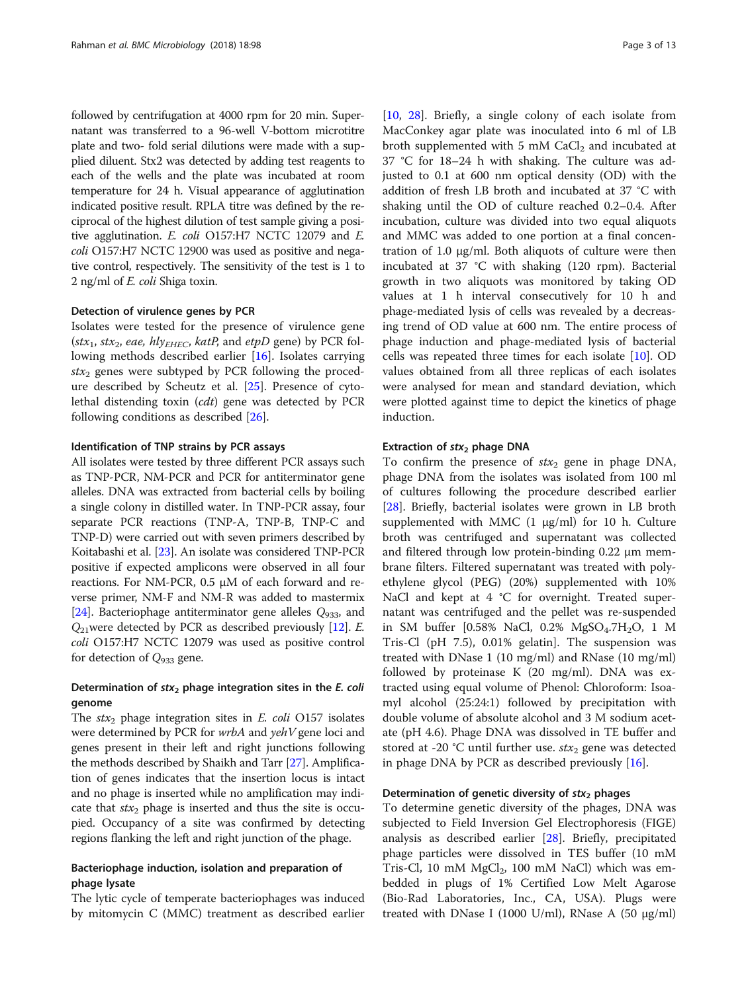followed by centrifugation at 4000 rpm for 20 min. Supernatant was transferred to a 96-well V-bottom microtitre plate and two- fold serial dilutions were made with a supplied diluent. Stx2 was detected by adding test reagents to each of the wells and the plate was incubated at room temperature for 24 h. Visual appearance of agglutination indicated positive result. RPLA titre was defined by the reciprocal of the highest dilution of test sample giving a positive agglutination. E. coli O157:H7 NCTC 12079 and E. coli O157:H7 NCTC 12900 was used as positive and negative control, respectively. The sensitivity of the test is 1 to 2 ng/ml of E. coli Shiga toxin.

### Detection of virulence genes by PCR

Isolates were tested for the presence of virulence gene (stx<sub>1</sub>, stx<sub>2</sub>, eae, hly<sub>EHEC</sub>, katP, and etpD gene) by PCR following methods described earlier [\[16](#page-11-0)]. Isolates carrying  $stx_2$  genes were subtyped by PCR following the procedure described by Scheutz et al. [\[25](#page-11-0)]. Presence of cytolethal distending toxin (cdt) gene was detected by PCR following conditions as described [\[26\]](#page-11-0).

#### Identification of TNP strains by PCR assays

All isolates were tested by three different PCR assays such as TNP-PCR, NM-PCR and PCR for antiterminator gene alleles. DNA was extracted from bacterial cells by boiling a single colony in distilled water. In TNP-PCR assay, four separate PCR reactions (TNP-A, TNP-B, TNP-C and TNP-D) were carried out with seven primers described by Koitabashi et al. [\[23\]](#page-11-0). An isolate was considered TNP-PCR positive if expected amplicons were observed in all four reactions. For NM-PCR, 0.5 μM of each forward and reverse primer, NM-F and NM-R was added to mastermix [[24](#page-11-0)]. Bacteriophage antiterminator gene alleles  $Q_{933}$ , and  $Q_{21}$ were detected by PCR as described previously [[12](#page-10-0)]. E. coli O157:H7 NCTC 12079 was used as positive control for detection of  $Q_{933}$  gene.

## Determination of  $stx_2$  phage integration sites in the E. coli genome

The  $stx_2$  phage integration sites in E. coli O157 isolates were determined by PCR for wrbA and yehV gene loci and genes present in their left and right junctions following the methods described by Shaikh and Tarr [[27](#page-11-0)]. Amplification of genes indicates that the insertion locus is intact and no phage is inserted while no amplification may indicate that  $stx_2$  phage is inserted and thus the site is occupied. Occupancy of a site was confirmed by detecting regions flanking the left and right junction of the phage.

## Bacteriophage induction, isolation and preparation of phage lysate

The lytic cycle of temperate bacteriophages was induced by mitomycin C (MMC) treatment as described earlier [[10,](#page-10-0) [28\]](#page-11-0). Briefly, a single colony of each isolate from MacConkey agar plate was inoculated into 6 ml of LB broth supplemented with 5 mM  $CaCl<sub>2</sub>$  and incubated at 37 °C for 18–24 h with shaking. The culture was adjusted to 0.1 at 600 nm optical density (OD) with the addition of fresh LB broth and incubated at 37 °C with shaking until the OD of culture reached 0.2–0.4. After incubation, culture was divided into two equal aliquots and MMC was added to one portion at a final concentration of 1.0 μg/ml. Both aliquots of culture were then incubated at 37 °C with shaking (120 rpm). Bacterial growth in two aliquots was monitored by taking OD values at 1 h interval consecutively for 10 h and phage-mediated lysis of cells was revealed by a decreasing trend of OD value at 600 nm. The entire process of phage induction and phage-mediated lysis of bacterial cells was repeated three times for each isolate [[10\]](#page-10-0). OD values obtained from all three replicas of each isolates were analysed for mean and standard deviation, which were plotted against time to depict the kinetics of phage induction.

#### Extraction of  $str<sub>2</sub>$  phage DNA

To confirm the presence of  $\text{str}_2$  gene in phage DNA, phage DNA from the isolates was isolated from 100 ml of cultures following the procedure described earlier [[28\]](#page-11-0). Briefly, bacterial isolates were grown in LB broth supplemented with MMC  $(1 \mu g/ml)$  for 10 h. Culture broth was centrifuged and supernatant was collected and filtered through low protein-binding 0.22 μm membrane filters. Filtered supernatant was treated with polyethylene glycol (PEG) (20%) supplemented with 10% NaCl and kept at 4 °C for overnight. Treated supernatant was centrifuged and the pellet was re-suspended in SM buffer  $[0.58\% \text{ NaCl}, 0.2\% \text{ MgSO}_4.7\text{H}_2\text{O}, 1 \text{ M}]$ Tris-Cl (pH 7.5), 0.01% gelatin]. The suspension was treated with DNase 1 (10 mg/ml) and RNase (10 mg/ml) followed by proteinase K (20 mg/ml). DNA was extracted using equal volume of Phenol: Chloroform: Isoamyl alcohol (25:24:1) followed by precipitation with double volume of absolute alcohol and 3 M sodium acetate (pH 4.6). Phage DNA was dissolved in TE buffer and stored at -20 °C until further use.  $\text{str}_2$  gene was detected in phage DNA by PCR as described previously [[16](#page-11-0)].

## Determination of genetic diversity of  $stx_2$  phages

To determine genetic diversity of the phages, DNA was subjected to Field Inversion Gel Electrophoresis (FIGE) analysis as described earlier [[28\]](#page-11-0). Briefly, precipitated phage particles were dissolved in TES buffer (10 mM Tris-Cl, 10 mM  $MgCl<sub>2</sub>$ , 100 mM NaCl) which was embedded in plugs of 1% Certified Low Melt Agarose (Bio-Rad Laboratories, Inc., CA, USA). Plugs were treated with DNase I (1000 U/ml), RNase A (50 μg/ml)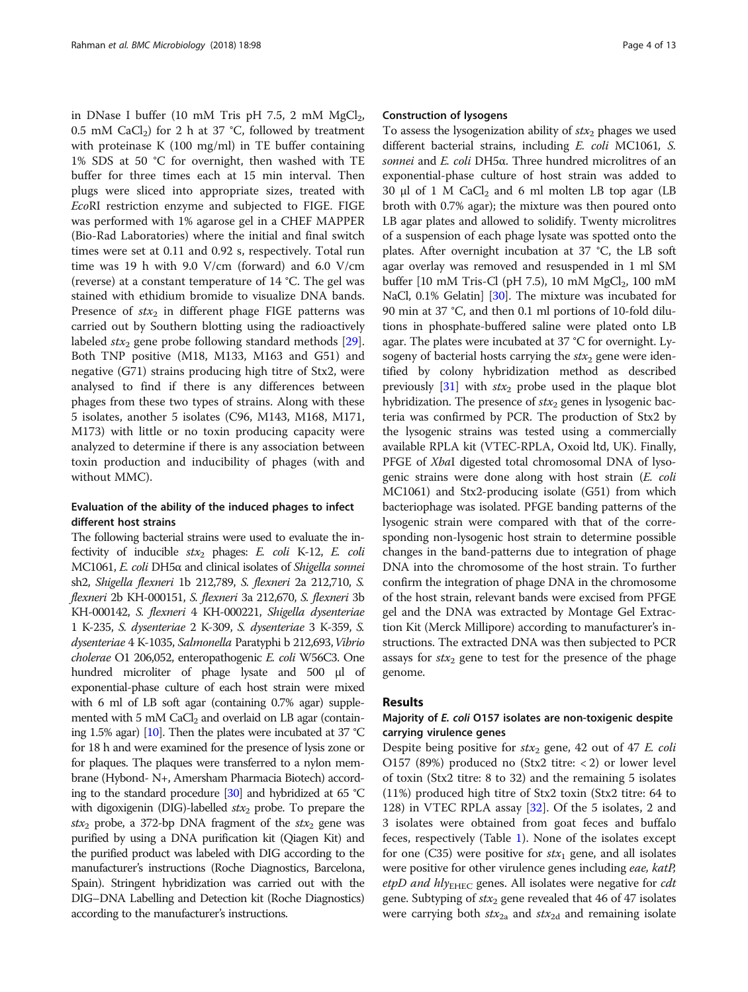in DNase I buffer (10 mM Tris pH 7.5, 2 mM  $MgCl<sub>2</sub>$ , 0.5 mM CaCl<sub>2</sub>) for 2 h at 37 °C, followed by treatment with proteinase K (100 mg/ml) in TE buffer containing 1% SDS at 50 °C for overnight, then washed with TE buffer for three times each at 15 min interval. Then plugs were sliced into appropriate sizes, treated with EcoRI restriction enzyme and subjected to FIGE. FIGE was performed with 1% agarose gel in a CHEF MAPPER (Bio-Rad Laboratories) where the initial and final switch times were set at 0.11 and 0.92 s, respectively. Total run time was 19 h with 9.0 V/cm (forward) and 6.0 V/cm (reverse) at a constant temperature of 14 °C. The gel was stained with ethidium bromide to visualize DNA bands. Presence of  $stx_2$  in different phage FIGE patterns was carried out by Southern blotting using the radioactively labeled  $stx_2$  gene probe following standard methods [\[29](#page-11-0)]. Both TNP positive (M18, M133, M163 and G51) and negative (G71) strains producing high titre of Stx2, were analysed to find if there is any differences between phages from these two types of strains. Along with these 5 isolates, another 5 isolates (C96, M143, M168, M171, M173) with little or no toxin producing capacity were analyzed to determine if there is any association between toxin production and inducibility of phages (with and without MMC).

## Evaluation of the ability of the induced phages to infect different host strains

The following bacterial strains were used to evaluate the infectivity of inducible  $stx_2$  phages: E. coli K-12, E. coli MC1061, E. coli DH5α and clinical isolates of Shigella sonnei sh2, Shigella flexneri 1b 212,789, S. flexneri 2a 212,710, S. flexneri 2b KH-000151, S. flexneri 3a 212,670, S. flexneri 3b KH-000142, S. flexneri 4 KH-000221, Shigella dysenteriae 1 K-235, S. dysenteriae 2 K-309, S. dysenteriae 3 K-359, S. dysenteriae 4 K-1035, Salmonella Paratyphi b 212,693, Vibrio cholerae O1 206,052, enteropathogenic E. coli W56C3. One hundred microliter of phage lysate and 500 μl of exponential-phase culture of each host strain were mixed with 6 ml of LB soft agar (containing 0.7% agar) supplemented with 5 mM  $CaCl<sub>2</sub>$  and overlaid on LB agar (containing 1.5% agar) [\[10](#page-10-0)]. Then the plates were incubated at 37 °C for 18 h and were examined for the presence of lysis zone or for plaques. The plaques were transferred to a nylon membrane (Hybond- N+, Amersham Pharmacia Biotech) according to the standard procedure [\[30](#page-11-0)] and hybridized at 65 °C with digoxigenin (DIG)-labelled  $\text{str}_2$  probe. To prepare the stx<sub>2</sub> probe, a 372-bp DNA fragment of the stx<sub>2</sub> gene was purified by using a DNA purification kit (Qiagen Kit) and the purified product was labeled with DIG according to the manufacturer's instructions (Roche Diagnostics, Barcelona, Spain). Stringent hybridization was carried out with the DIG–DNA Labelling and Detection kit (Roche Diagnostics) according to the manufacturer's instructions.

### Construction of lysogens

To assess the lysogenization ability of  $\textit{str}_2$  phages we used different bacterial strains, including E. coli MC1061, S. sonnei and E. coli DH5α. Three hundred microlitres of an exponential-phase culture of host strain was added to 30 μl of 1 M CaCl<sub>2</sub> and 6 ml molten LB top agar (LB broth with 0.7% agar); the mixture was then poured onto LB agar plates and allowed to solidify. Twenty microlitres of a suspension of each phage lysate was spotted onto the plates. After overnight incubation at 37 °C, the LB soft agar overlay was removed and resuspended in 1 ml SM buffer  $[10 \text{ mM Tris-Cl (pH 7.5), 10 mM MgCl}_2, 100 \text{ mM}$ NaCl, 0.1% Gelatin] [\[30](#page-11-0)]. The mixture was incubated for 90 min at 37 °C, and then 0.1 ml portions of 10-fold dilutions in phosphate-buffered saline were plated onto LB agar. The plates were incubated at 37 °C for overnight. Lysogeny of bacterial hosts carrying the  $\textit{str}_2$  gene were identified by colony hybridization method as described previously  $[31]$  with  $f(x_2)$  probe used in the plaque blot hybridization. The presence of  $\text{str}_2$  genes in lysogenic bacteria was confirmed by PCR. The production of Stx2 by the lysogenic strains was tested using a commercially available RPLA kit (VTEC-RPLA, Oxoid ltd, UK). Finally, PFGE of XbaI digested total chromosomal DNA of lysogenic strains were done along with host strain (E. coli MC1061) and Stx2-producing isolate (G51) from which bacteriophage was isolated. PFGE banding patterns of the lysogenic strain were compared with that of the corresponding non-lysogenic host strain to determine possible changes in the band-patterns due to integration of phage DNA into the chromosome of the host strain. To further confirm the integration of phage DNA in the chromosome of the host strain, relevant bands were excised from PFGE gel and the DNA was extracted by Montage Gel Extraction Kit (Merck Millipore) according to manufacturer's instructions. The extracted DNA was then subjected to PCR assays for  $stx_2$  gene to test for the presence of the phage genome.

## Results

## Majority of E. coli O157 isolates are non-toxigenic despite carrying virulence genes

Despite being positive for  $\text{ }star_2$  gene, 42 out of 47 E. coli O157 (89%) produced no (Stx2 titre: < 2) or lower level of toxin (Stx2 titre: 8 to 32) and the remaining 5 isolates (11%) produced high titre of Stx2 toxin (Stx2 titre: 64 to 128) in VTEC RPLA assay [\[32](#page-11-0)]. Of the 5 isolates, 2 and 3 isolates were obtained from goat feces and buffalo feces, respectively (Table [1\)](#page-4-0). None of the isolates except for one (C35) were positive for  $stx_1$  gene, and all isolates were positive for other virulence genes including eae, katP, etpD and  $hly_{\text{EHEC}}$  genes. All isolates were negative for cdt gene. Subtyping of  $\textit{stx}_2$  gene revealed that 46 of 47 isolates were carrying both  $\text{ }star_{2a}$  and  $\text{ }star_{2d}$  and remaining isolate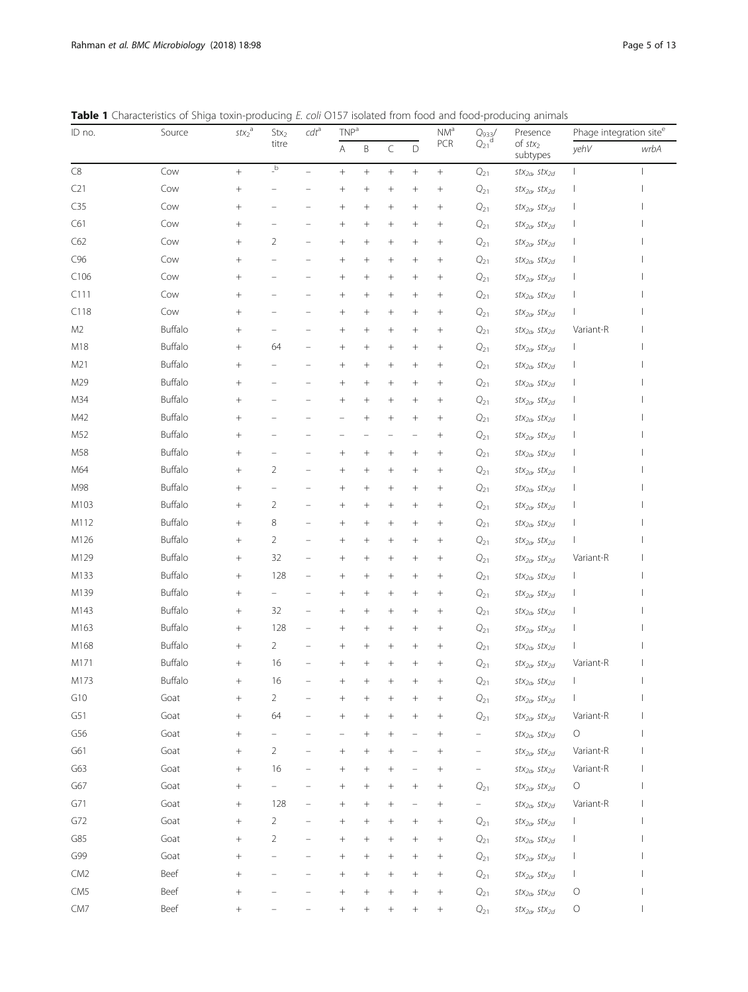<span id="page-4-0"></span>

|  | <b>Table 1</b> Characteristics of Shiga toxin-producing E, coli Q157 isolated from food and food-producing animals |  |  |  |  |  |  |  |  |  |
|--|--------------------------------------------------------------------------------------------------------------------|--|--|--|--|--|--|--|--|--|
|--|--------------------------------------------------------------------------------------------------------------------|--|--|--|--|--|--|--|--|--|

| ID no.           | Source  | $stx_2$ <sup>a</sup> | $\mathsf{Stx}_2$                        | $\mathit{cdt}^{\rm a}$ | TNP <sup>a</sup>   |         |         |                 | $\mathsf{NM}^\mathsf{a}$<br>PCR | $Q_{933}/Q_{21}$   | Presence<br>of $stx_2$<br>subtypes           | Phage integration site <sup>e</sup> |      |  |
|------------------|---------|----------------------|-----------------------------------------|------------------------|--------------------|---------|---------|-----------------|---------------------------------|--------------------|----------------------------------------------|-------------------------------------|------|--|
|                  |         |                      | titre                                   |                        | A                  | $\sf B$ | C       | D               |                                 |                    |                                              | yehV                                | wrbA |  |
| $\mathsf{C}8$    | Cow     |                      | $\overline{\phantom{a}}^{\,\mathrm{b}}$ |                        | $^{+}$             |         | $^{+}$  | $\! + \!\!\!\!$ | $\! + \!\!\!\!$                 | $\mathbb{Q}_{21}$  | $stx_{2a}$ , $stx_{2d}$                      |                                     |      |  |
| C21              | Cow     | $^{+}$               |                                         |                        | $\hspace{0.1mm} +$ | $^{+}$  | $^{+}$  | $^{+}$          | $^{+}$                          | $Q_{21}$           | $stx_{2a}$ , $stx_{2d}$                      |                                     |      |  |
| C35              | Cow     | $^{+}$               |                                         |                        | $\,+\,$            | $^{+}$  | $^{+}$  | $^{+}$          | $^{+}$                          | $Q_{21}$           | $stx_{2a}$ , $stx_{2d}$                      |                                     |      |  |
| C61              | Cow     | $^{+}$               |                                         |                        | $^{+}$             |         | $^{+}$  |                 | $^{+}$                          | $\mathbb{Q}_{21}$  | $stx_{2a}$ , $stx_{2d}$                      |                                     |      |  |
| C62              | Cow     | $\! + \!\!\!\!$      | 2                                       |                        | $\hspace{0.1mm} +$ |         | $^{+}$  | $^{+}$          | $^{+}$                          | $Q_{21}$           | $stx_{2a}$ , $stx_{2d}$                      |                                     |      |  |
| C96              | Cow     | $^{+}$               |                                         |                        | $\,+\,$            | $^{+}$  | $^{+}$  | $^{+}$          | $^{+}$                          | $Q_{21}$           | $stx_{2a}$ , $stx_{2d}$                      |                                     |      |  |
| C <sub>106</sub> | Cow     | $^{+}$               |                                         |                        | $\hspace{0.1mm} +$ | $^{+}$  | $\,+\,$ |                 | $^{+}$                          | $Q_{21}$           | $stx_{2a}$ , $stx_{2d}$                      |                                     |      |  |
| C111             | Cow     | $^{+}$               |                                         |                        | $\hspace{0.1mm} +$ | $^{+}$  | $\,+\,$ | $^{+}$          | $^{+}$                          | $Q_{21}$           | $stx_{2a}$ , $stx_{2d}$                      |                                     |      |  |
| C118             | Cow     | $^{+}$               |                                         |                        | $\hspace{0.1mm} +$ | $^{+}$  | $^{+}$  | $^{+}$          | $^{+}$                          | $Q_{21}$           | $stx_{2a}$ , $stx_{2d}$                      |                                     |      |  |
| M <sub>2</sub>   | Buffalo |                      |                                         |                        | $^{+}$             |         | $^{+}$  |                 | $^{+}$                          | $\mathbb{Q}_{21}$  | $stx_{2a}$ , $stx_{2d}$                      | Variant-R                           |      |  |
| M18              | Buffalo | $\! + \!\!\!\!$      | 64                                      |                        | $\hspace{0.1mm} +$ |         | $^{+}$  | $^{+}$          | $^{+}$                          | $Q_{21}$           | $stx_{2a}$ , $stx_{2d}$                      |                                     |      |  |
| M21              | Buffalo | $^{+}$               |                                         |                        | $^{+}$             | $^{+}$  | $^{+}$  | $^{+}$          | $^{+}$                          | $Q_{21}$           | $stx_{2a}$ , $stx_{2d}$                      |                                     |      |  |
| M29              | Buffalo | $^{+}$               |                                         |                        | $\hspace{0.1mm} +$ | $^{+}$  | $\,+\,$ |                 | $^{+}$                          | $Q_{21}$           | $stx_{2a}$ , $stx_{2d}$                      |                                     |      |  |
| M34              | Buffalo | $^{+}$               |                                         |                        | $\hspace{0.1mm} +$ | $^{+}$  | $\,+\,$ | $^{+}$          | $^{+}$                          | $Q_{21}$           | $stx_{2a}$ , $stx_{2d}$                      |                                     |      |  |
| M42              | Buffalo | $^{+}$               |                                         |                        |                    | $^{+}$  | $^{+}$  | $^{+}$          | $^{+}$                          | $Q_{21}$           | $stx_{2a}$ , $stx_{2d}$                      |                                     |      |  |
| M52              | Buffalo |                      |                                         |                        |                    |         |         |                 | $^{+}$                          | $\mathbb{Q}_{21}$  | $stx_{2a}$ , $stx_{2d}$                      |                                     |      |  |
| M58              | Buffalo | $^{+}$               |                                         |                        | $\hspace{0.1mm} +$ | $^{+}$  | $^{+}$  | $^{+}$          | $^+$                            | $Q_{21}$           | $stx_{2a}$ , $stx_{2d}$                      |                                     |      |  |
| M64              | Buffalo | $^{+}$               | $\overline{2}$                          |                        | $^{+}$             | $^{+}$  | $^{+}$  | $^{+}$          | $^{+}$                          | $Q_{21}$           | $stx_{2a}$ , $stx_{2d}$                      |                                     |      |  |
| M98              | Buffalo |                      |                                         |                        | $^{+}$             |         | $^{+}$  |                 | $^{+}$                          | $Q_{21}$           | $stx_{2a}$ , $stx_{2d}$                      |                                     |      |  |
| M103             | Buffalo |                      | $\overline{2}$                          |                        | $^{+}$             | $^{+}$  | $\,+\,$ | $^{+}$          | $^{+}$                          | $Q_{21}$           | $stx_{2a}$ , $stx_{2d}$                      |                                     |      |  |
| M112             | Buffalo | $^{+}$               | 8                                       |                        | $\hspace{0.1mm} +$ | $^{+}$  | $^{+}$  | $^{+}$          | $^{+}$                          | $Q_{21}$           | $stx_{2a}$ , $stx_{2d}$                      |                                     |      |  |
| M126             | Buffalo |                      | 2                                       |                        | $^{+}$             |         | $^{+}$  |                 | $^{+}$                          | $\mathbb{Q}_{21}$  | $stx_{2a}$ , $stx_{2d}$                      |                                     |      |  |
| M129             | Buffalo |                      | 32                                      |                        | $\hspace{0.1mm} +$ | $^{+}$  | $^{+}$  | $^{+}$          | $^+$                            | $Q_{21}$           | $stx_{2a}$ , $stx_{2d}$                      | Variant-R                           |      |  |
| M133             | Buffalo | $^{+}$               | 128                                     |                        | $^{+}$             | $^{+}$  | $^{+}$  | $^{+}$          | $^{+}$                          | $Q_{21}$           | $stx_{2a}$ , $stx_{2d}$                      |                                     |      |  |
| M139             | Buffalo |                      |                                         |                        | $\hspace{0.1mm} +$ |         | $^{+}$  |                 | $^{+}$                          | $\mathbb{Q}_{21}$  | $stx_{2a}$ , $stx_{2d}$                      |                                     |      |  |
| M143             | Buffalo |                      | 32                                      |                        | $^{+}$             | $^{+}$  | $^{+}$  | $^{+}$          | $^{+}$                          | $Q_{21}$           | $stx_{2a}$ , $stx_{2d}$                      |                                     |      |  |
| M163             | Buffalo | $^{+}$               | 128                                     |                        | $\hspace{0.1mm} +$ | $^{+}$  | $^{+}$  | $^{+}$          | $^{+}$                          | $Q_{21}$           | $stx_{2a}$ , $stx_{2d}$                      |                                     |      |  |
| M168             | Buffalo |                      | 2                                       |                        | $\hspace{0.1mm} +$ | $^{+}$  | $^{+}$  |                 | $^{+}$                          | $\mathbb{Q}_{21}$  | $stx_{2a}$ , $stx_{2d}$                      |                                     |      |  |
| M171             | Buffalo | $^{+}$               | 16                                      |                        |                    | $^{+}$  |         | $^{+}$          | $^{+}$                          | $Q_{21}$           | $stx_{2a}$ , $stx_{2d}$                      | Variant-R                           |      |  |
| M173             | Buffalo |                      | 16                                      |                        |                    |         |         |                 |                                 | $Q_{21}$           | $\mathit{stx}_{2\alpha}$ $\mathit{stx}_{2d}$ |                                     |      |  |
| G10              | Goat    | $^{+}$               | $\overline{c}$                          |                        | $^+$               | ╅       |         | $^{+}$          | $^+$                            | $\mathbb{Q}_{21}$  | $stx_{2a}$ , $stx_{2d}$                      |                                     |      |  |
| G51              | Goat    | $^{+}$               | 64                                      |                        | $\hspace{0.1mm} +$ | $^{+}$  | $^{+}$  | $^{+}$          | $^{+}$                          | $\mathcal{Q}_{21}$ | $stx_{2a}$ , $stx_{2d}$                      | Variant-R                           |      |  |
| G56              | Goat    | $^{+}$               |                                         |                        |                    | $^{+}$  | $^{+}$  |                 | $^{+}$                          |                    | $stx_{2a}$ , $stx_{2d}$                      | $\bigcirc$                          |      |  |
| G61              | Goat    | $^{+}$               | $\overline{c}$                          |                        | $^{+}$             | $^{+}$  | $^+$    |                 | $^{+}$                          |                    | $stx_{2a}$ , $stx_{2d}$                      | Variant-R                           |      |  |
| G63              | Goat    | $^{+}$               | 16                                      |                        | $\hspace{0.1mm} +$ | $^+$    | $^+$    |                 | $^+$                            |                    | $stx_{2a}$ , $stx_{2d}$                      | Variant-R                           |      |  |
| G67              | Goat    | $^{+}$               |                                         |                        | $^{+}$             | $^{+}$  | $^{+}$  | $^{+}$          | $^{+}$                          | $Q_{21}$           | $stx_{2a}$ , $stx_{2d}$                      | $\bigcirc$                          |      |  |
| G71              | Goat    |                      | 128                                     |                        | $^+$               | $^{+}$  | $^{+}$  |                 | $^{+}$                          |                    | $stx_{2a}$ , $stx_{2d}$                      | Variant-R                           |      |  |
| G72              | Goat    | $^{+}$               | $\overline{c}$                          |                        | $^{+}$             | $^{+}$  | $^{+}$  | $^{+}$          | $^{+}$                          | $\mathcal{Q}_{21}$ | $stx_{2a}$ , $stx_{2d}$                      |                                     |      |  |
| G85              | Goat    | $^{+}$               | 2                                       |                        | $^{+}$             | $^{+}$  | $^{+}$  | $^{+}$          | $^+$                            | $Q_{21}$           | $stx_{2a}$ , $stx_{2d}$                      |                                     |      |  |
| G99              | Goat    | $^{+}$               |                                         |                        | $^{+}$             | $^{+}$  | $^+$    | $^{+}$          | $^+$                            | $Q_{21}$           | $stx_{2a}$ , $stx_{2d}$                      |                                     |      |  |
| CM <sub>2</sub>  | Beef    | $^{+}$               |                                         |                        | $\hspace{0.1mm} +$ | $^+$    | $^+$    | $^{+}$          | $^+$                            | $Q_{21}$           | $stx_{2a}$ , $stx_{2d}$                      |                                     |      |  |
| CM <sub>5</sub>  | Beef    | $^{+}$               |                                         |                        | $\hspace{0.1mm} +$ | $^{+}$  | $^+$    | $^{+}$          | $^{+}$                          | $Q_{21}$           | stx $_{2a}$ , stx $_{2d}$                    | $\circ$                             |      |  |
| CM <sub>7</sub>  | Beef    | $^{+}$               |                                         |                        |                    | $^{+}$  |         | $\! +$          | $^{+}$                          | $Q_{21}$           | $stx_{2a}$ , $stx_{2d}$                      | $\circ$                             |      |  |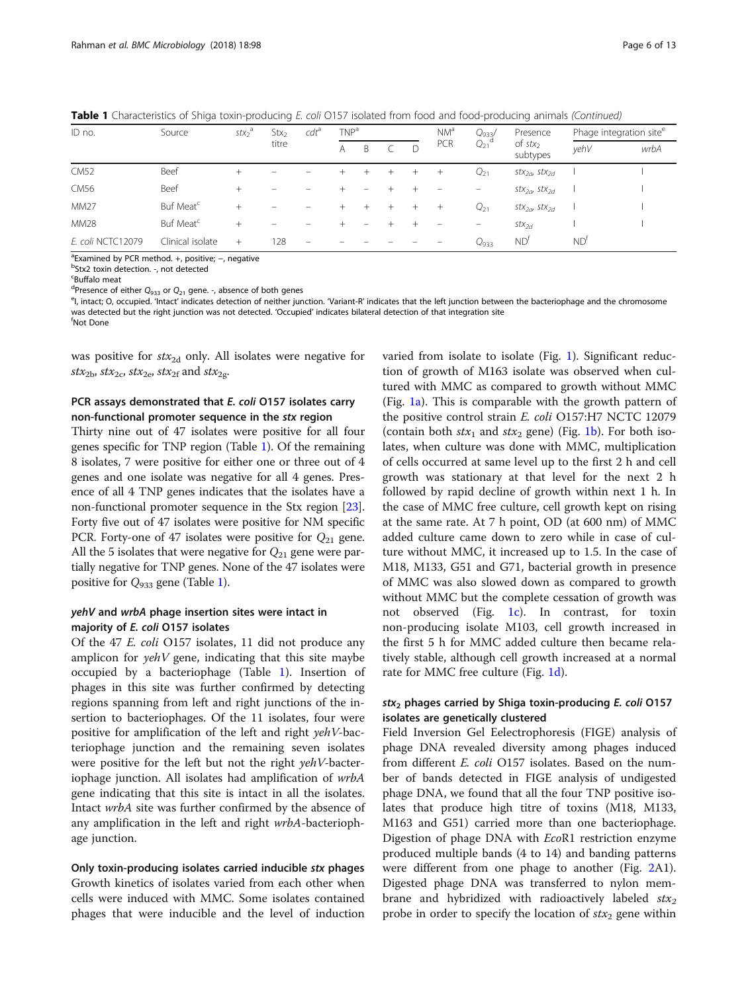Table 1 Characteristics of Shiga toxin-producing E. coli O157 isolated from food and food-producing animals (Continued)

| ID no.            | Source                | $stx_2^a$ | Stx <sub>2</sub><br>titre | $cdt$ <sup>a</sup> | TNP <sup>a</sup> |   |  |   | NM <sup>a</sup> | $Q_{933'}$            | Presence                                  | Phage integration site <sup>e</sup> |      |
|-------------------|-----------------------|-----------|---------------------------|--------------------|------------------|---|--|---|-----------------|-----------------------|-------------------------------------------|-------------------------------------|------|
|                   |                       |           |                           |                    | A                | B |  | D | PCR             | $Q_{21}$ <sup>d</sup> | of $stx2$<br>subtypes                     | yehV                                | wrbA |
| <b>CM52</b>       | Beef                  |           |                           |                    |                  |   |  |   | $^{+}$          | $Q_{21}$              | $\mathsf{stx}_{2a}$ , $\mathsf{stx}_{2d}$ |                                     |      |
| CM56              | Beef                  | $^+$      |                           |                    |                  |   |  |   |                 | -                     | $\frac{stx_{2d}}{s}$ stx <sub>2d</sub>    |                                     |      |
| <b>MM27</b>       | Buf Meat <sup>c</sup> | $^{+}$    |                           |                    |                  |   |  |   | $^{+}$          | $Q_{21}$              | $\frac{stx_{2d}}{s}$ stx <sub>2d</sub>    |                                     |      |
| <b>MM28</b>       | Buf Meat <sup>c</sup> |           |                           |                    |                  |   |  |   |                 | -                     | $stx_{2d}$                                |                                     |      |
| E. coli NCTC12079 | Clinical isolate      | $+$       | 128                       | -                  |                  |   |  |   |                 | $Q_{933}$             | ND <sup>†</sup>                           | $ND^{\dagger}$                      |      |

<sup>a</sup> Examined by PCR method. +, positive; –, negative<br><sup>b</sup>Stx2 toxip detection and detected

<sup>b</sup>Stx2 toxin detection. -, not detected

<sup>c</sup>Buffalo meat

<sup>d</sup>Presence of either  $Q_{933}$  or  $Q_{21}$  gene. -, absence of both genes<br><sup>e</sup>l intact: O occupied 'Intact' indicates detection of poither jur

<sup>e</sup>l, intact; O, occupied. 'Intact' indicates detection of neither junction. 'Variant-R' indicates that the left junction between the bacteriophage and the chromosome was detected but the right junction was not detected. 'Occupied' indicates bilateral detection of that integration site <sup>f</sup> Not Done

was positive for  $stx_{2d}$  only. All isolates were negative for  $stx_{2b}$ ,  $stx_{2c}$ ,  $stx_{2e}$ ,  $stx_{2f}$  and  $stx_{2g}$ .

## PCR assays demonstrated that E. coli O157 isolates carry non-functional promoter sequence in the stx region

Thirty nine out of 47 isolates were positive for all four genes specific for TNP region (Table [1\)](#page-4-0). Of the remaining 8 isolates, 7 were positive for either one or three out of 4 genes and one isolate was negative for all 4 genes. Presence of all 4 TNP genes indicates that the isolates have a non-functional promoter sequence in the Stx region [[23](#page-11-0)]. Forty five out of 47 isolates were positive for NM specific PCR. Forty-one of 47 isolates were positive for  $Q_{21}$  gene. All the 5 isolates that were negative for  $Q_{21}$  gene were partially negative for TNP genes. None of the 47 isolates were positive for  $Q_{933}$  gene (Table [1\)](#page-4-0).

## yehV and wrbA phage insertion sites were intact in majority of E. coli O157 isolates

Of the 47 E. coli O157 isolates, 11 did not produce any amplicon for  $yehV$  gene, indicating that this site maybe occupied by a bacteriophage (Table [1](#page-4-0)). Insertion of phages in this site was further confirmed by detecting regions spanning from left and right junctions of the insertion to bacteriophages. Of the 11 isolates, four were positive for amplification of the left and right yehV-bacteriophage junction and the remaining seven isolates were positive for the left but not the right *yehV*-bacteriophage junction. All isolates had amplification of wrbA gene indicating that this site is intact in all the isolates. Intact wrbA site was further confirmed by the absence of any amplification in the left and right wrbA-bacteriophage junction.

Only toxin-producing isolates carried inducible stx phages Growth kinetics of isolates varied from each other when cells were induced with MMC. Some isolates contained phages that were inducible and the level of induction

varied from isolate to isolate (Fig. [1\)](#page-6-0). Significant reduction of growth of M163 isolate was observed when cultured with MMC as compared to growth without MMC (Fig. [1a](#page-6-0)). This is comparable with the growth pattern of the positive control strain E. coli O157:H7 NCTC 12079 (contain both  $stx_1$  and  $stx_2$  gene) (Fig. [1b\)](#page-6-0). For both isolates, when culture was done with MMC, multiplication of cells occurred at same level up to the first 2 h and cell growth was stationary at that level for the next 2 h followed by rapid decline of growth within next 1 h. In the case of MMC free culture, cell growth kept on rising at the same rate. At 7 h point, OD (at 600 nm) of MMC added culture came down to zero while in case of culture without MMC, it increased up to 1.5. In the case of M18, M133, G51 and G71, bacterial growth in presence of MMC was also slowed down as compared to growth without MMC but the complete cessation of growth was not observed (Fig. [1c\)](#page-6-0). In contrast, for toxin non-producing isolate M103, cell growth increased in the first 5 h for MMC added culture then became relatively stable, although cell growth increased at a normal rate for MMC free culture (Fig. [1d\)](#page-6-0).

## $stx<sub>2</sub>$  phages carried by Shiga toxin-producing E. coli 0157 isolates are genetically clustered

Field Inversion Gel Eelectrophoresis (FIGE) analysis of phage DNA revealed diversity among phages induced from different *E. coli* O157 isolates. Based on the number of bands detected in FIGE analysis of undigested phage DNA, we found that all the four TNP positive isolates that produce high titre of toxins (M18, M133, M163 and G51) carried more than one bacteriophage. Digestion of phage DNA with EcoR1 restriction enzyme produced multiple bands (4 to 14) and banding patterns were different from one phage to another (Fig. [2](#page-7-0)A1). Digested phage DNA was transferred to nylon membrane and hybridized with radioactively labeled  $\text{str}_2$ probe in order to specify the location of  $\text{str}_2$  gene within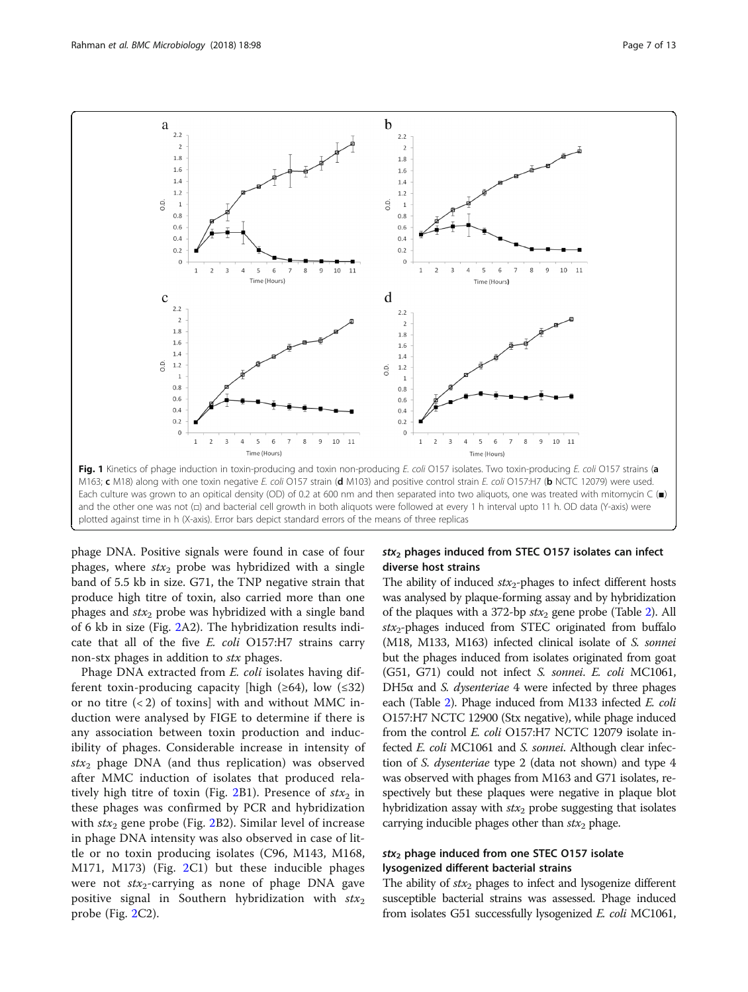<span id="page-6-0"></span>

phage DNA. Positive signals were found in case of four phages, where  $stx_2$  probe was hybridized with a single band of 5.5 kb in size. G71, the TNP negative strain that produce high titre of toxin, also carried more than one phages and  $stx_2$  probe was hybridized with a single band of 6 kb in size (Fig. [2](#page-7-0)A2). The hybridization results indicate that all of the five E. coli O157:H7 strains carry non-stx phages in addition to stx phages.

Phage DNA extracted from E. coli isolates having different toxin-producing capacity [high ( $\geq 64$ ), low ( $\leq 32$ ) or no titre  $(< 2)$  of toxins] with and without MMC induction were analysed by FIGE to determine if there is any association between toxin production and inducibility of phages. Considerable increase in intensity of  $stx<sub>2</sub>$  phage DNA (and thus replication) was observed after MMC induction of isolates that produced rela-tively high titre of toxin (Fig. [2](#page-7-0)B1). Presence of  $stx_2$  in these phages was confirmed by PCR and hybridization with  $\text{str}_2$  gene probe (Fig. [2B](#page-7-0)2). Similar level of increase in phage DNA intensity was also observed in case of little or no toxin producing isolates (C96, M143, M168, M171, M173) (Fig. [2C](#page-7-0)1) but these inducible phages were not  $\text{str}_2$ -carrying as none of phage DNA gave positive signal in Southern hybridization with  $stx_2$ probe (Fig. [2C](#page-7-0)2).

## $stx<sub>2</sub>$  phages induced from STEC 0157 isolates can infect diverse host strains

The ability of induced  $\text{str}_2$ -phages to infect different hosts was analysed by plaque-forming assay and by hybridization of the plaques with a 372-bp  $stx_2$  gene probe (Table [2\)](#page-7-0). All  $stx_2$ -phages induced from STEC originated from buffalo (M18, M133, M163) infected clinical isolate of S. sonnei but the phages induced from isolates originated from goat (G51, G71) could not infect S. sonnei. E. coli MC1061, DH5 $α$  and *S. dysenteriae* 4 were infected by three phages each (Table [2\)](#page-7-0). Phage induced from M133 infected E. coli O157:H7 NCTC 12900 (Stx negative), while phage induced from the control E. coli O157:H7 NCTC 12079 isolate infected E. coli MC1061 and S. sonnei. Although clear infection of S. dysenteriae type 2 (data not shown) and type 4 was observed with phages from M163 and G71 isolates, respectively but these plaques were negative in plaque blot hybridization assay with  $\text{str}_2$  probe suggesting that isolates carrying inducible phages other than  $\text{str}_2$  phage.

## $stx<sub>2</sub>$  phage induced from one STEC 0157 isolate lysogenized different bacterial strains

The ability of  $\text{str}_2$  phages to infect and lysogenize different susceptible bacterial strains was assessed. Phage induced from isolates G51 successfully lysogenized E. coli MC1061,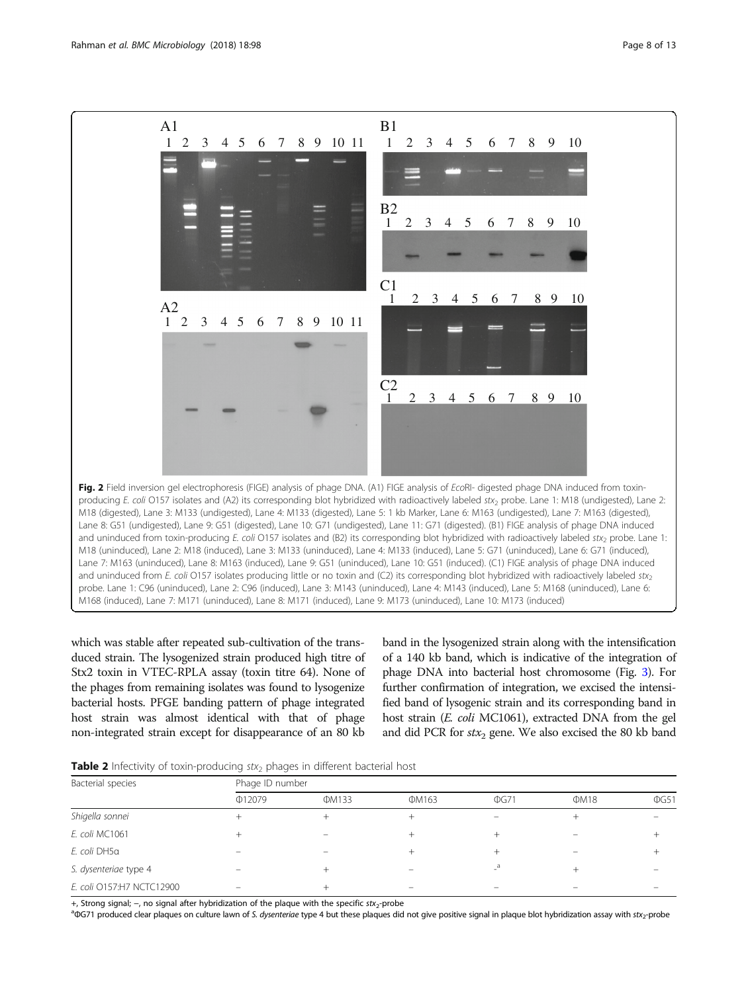<span id="page-7-0"></span>

which was stable after repeated sub-cultivation of the transduced strain. The lysogenized strain produced high titre of Stx2 toxin in VTEC-RPLA assay (toxin titre 64). None of the phages from remaining isolates was found to lysogenize bacterial hosts. PFGE banding pattern of phage integrated host strain was almost identical with that of phage non-integrated strain except for disappearance of an 80 kb

band in the lysogenized strain along with the intensification of a 140 kb band, which is indicative of the integration of phage DNA into bacterial host chromosome (Fig. [3\)](#page-8-0). For further confirmation of integration, we excised the intensified band of lysogenic strain and its corresponding band in host strain (E. coli MC1061), extracted DNA from the gel and did PCR for  $stx_2$  gene. We also excised the 80 kb band

**Table 2** Infectivity of toxin-producing  $stx_2$  phages in different bacterial host

| Bacterial species         | Phage ID number |              |       |            |      |            |  |  |  |  |  |  |  |
|---------------------------|-----------------|--------------|-------|------------|------|------------|--|--|--|--|--|--|--|
|                           | Φ12079          | <b>ΦM133</b> | ΦM163 | $\Phi$ G71 | ΦM18 | $\Phi$ G51 |  |  |  |  |  |  |  |
| Shigella sonnei           |                 |              |       |            |      |            |  |  |  |  |  |  |  |
| E. coli MC1061            |                 |              |       |            |      |            |  |  |  |  |  |  |  |
| E. coli DH5a              |                 |              |       |            |      |            |  |  |  |  |  |  |  |
| S. dysenteriae type 4     |                 |              |       |            |      |            |  |  |  |  |  |  |  |
| E. coli 0157:H7 NCTC12900 |                 |              |       |            |      |            |  |  |  |  |  |  |  |

+, Strong signal; –, no signal after hybridization of the plague with the specific stx<sub>2</sub>-probe

aQG71 produced clear plaques on culture lawn of S. dysenteriae type 4 but these plaques did not give positive signal in plaque blot hybridization assay with stx2-probe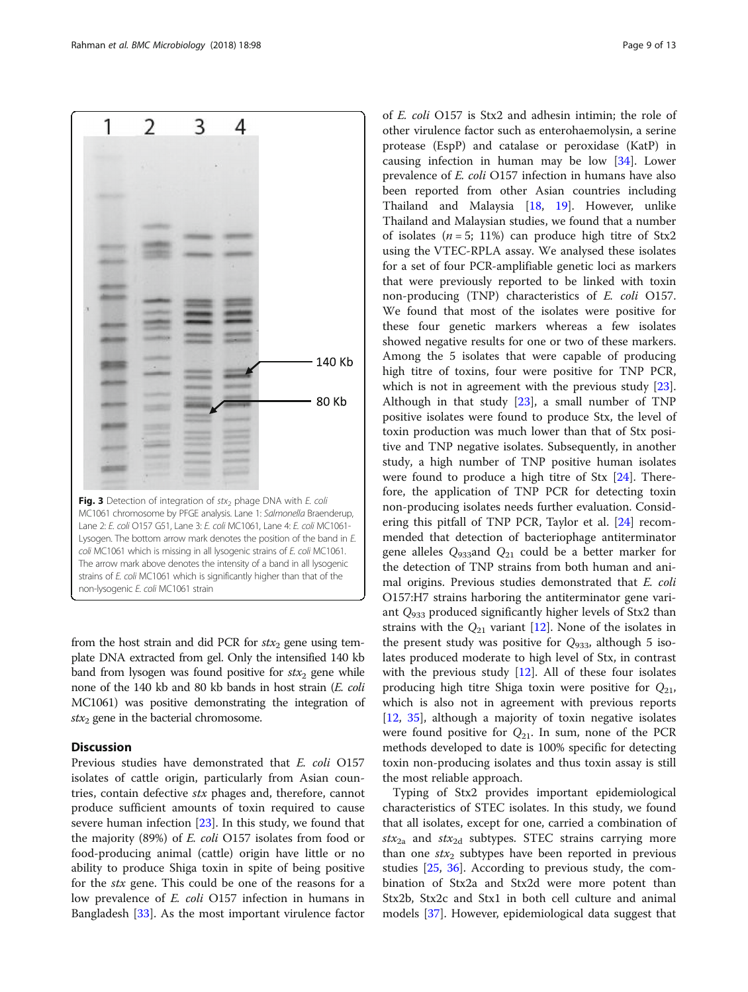<span id="page-8-0"></span>

from the host strain and did PCR for  $stx_2$  gene using template DNA extracted from gel. Only the intensified 140 kb band from lysogen was found positive for  $stx_2$  gene while none of the 140 kb and 80 kb bands in host strain (E. coli MC1061) was positive demonstrating the integration of  $stx_2$  gene in the bacterial chromosome.

## **Discussion**

Previous studies have demonstrated that E. coli O157 isolates of cattle origin, particularly from Asian countries, contain defective stx phages and, therefore, cannot produce sufficient amounts of toxin required to cause severe human infection [[23\]](#page-11-0). In this study, we found that the majority (89%) of E. coli O157 isolates from food or food-producing animal (cattle) origin have little or no ability to produce Shiga toxin in spite of being positive for the stx gene. This could be one of the reasons for a low prevalence of E. coli O157 infection in humans in Bangladesh [\[33](#page-11-0)]. As the most important virulence factor

of E. coli O157 is Stx2 and adhesin intimin; the role of other virulence factor such as enterohaemolysin, a serine protease (EspP) and catalase or peroxidase (KatP) in causing infection in human may be low [\[34\]](#page-11-0). Lower prevalence of E. coli O157 infection in humans have also been reported from other Asian countries including Thailand and Malaysia [[18](#page-11-0), [19](#page-11-0)]. However, unlike Thailand and Malaysian studies, we found that a number of isolates ( $n = 5$ ; 11%) can produce high titre of Stx2 using the VTEC-RPLA assay. We analysed these isolates for a set of four PCR-amplifiable genetic loci as markers that were previously reported to be linked with toxin non-producing (TNP) characteristics of E. coli O157. We found that most of the isolates were positive for these four genetic markers whereas a few isolates showed negative results for one or two of these markers. Among the 5 isolates that were capable of producing high titre of toxins, four were positive for TNP PCR, which is not in agreement with the previous study [\[23](#page-11-0)]. Although in that study [[23](#page-11-0)], a small number of TNP positive isolates were found to produce Stx, the level of toxin production was much lower than that of Stx positive and TNP negative isolates. Subsequently, in another study, a high number of TNP positive human isolates were found to produce a high titre of Stx [\[24](#page-11-0)]. Therefore, the application of TNP PCR for detecting toxin non-producing isolates needs further evaluation. Considering this pitfall of TNP PCR, Taylor et al. [\[24](#page-11-0)] recommended that detection of bacteriophage antiterminator gene alleles  $Q_{933}$ and  $Q_{21}$  could be a better marker for the detection of TNP strains from both human and animal origins. Previous studies demonstrated that E. coli O157:H7 strains harboring the antiterminator gene variant  $Q_{933}$  produced significantly higher levels of Stx2 than strains with the  $Q_{21}$  variant [\[12](#page-10-0)]. None of the isolates in the present study was positive for  $Q_{933}$ , although 5 isolates produced moderate to high level of Stx, in contrast with the previous study  $[12]$ . All of these four isolates producing high titre Shiga toxin were positive for  $Q_{21}$ , which is also not in agreement with previous reports [[12,](#page-10-0) [35](#page-11-0)], although a majority of toxin negative isolates were found positive for  $Q_{21}$ . In sum, none of the PCR methods developed to date is 100% specific for detecting toxin non-producing isolates and thus toxin assay is still the most reliable approach.

Typing of Stx2 provides important epidemiological characteristics of STEC isolates. In this study, we found that all isolates, except for one, carried a combination of  $stx_{2a}$  and  $stx_{2d}$  subtypes. STEC strains carrying more than one  $stx_2$  subtypes have been reported in previous studies [\[25,](#page-11-0) [36\]](#page-11-0). According to previous study, the combination of Stx2a and Stx2d were more potent than Stx2b, Stx2c and Stx1 in both cell culture and animal models [[37](#page-11-0)]. However, epidemiological data suggest that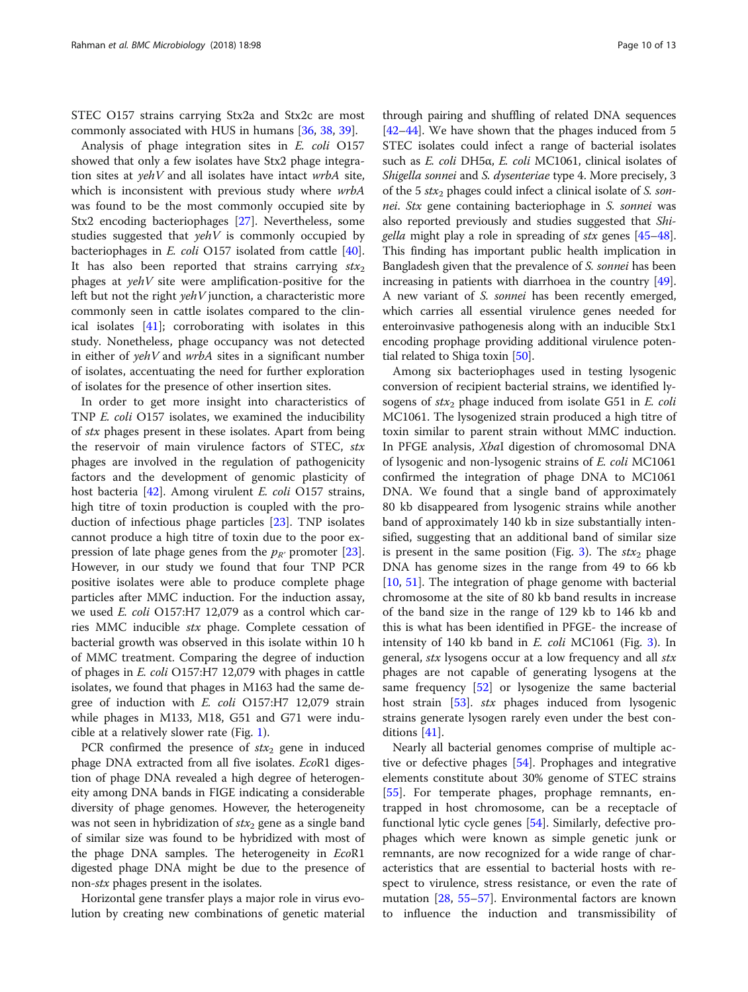STEC O157 strains carrying Stx2a and Stx2c are most commonly associated with HUS in humans [\[36](#page-11-0), [38,](#page-11-0) [39\]](#page-11-0).

Analysis of phage integration sites in E. coli O157 showed that only a few isolates have Stx2 phage integration sites at yehV and all isolates have intact wrbA site, which is inconsistent with previous study where wrbA was found to be the most commonly occupied site by Stx2 encoding bacteriophages [\[27\]](#page-11-0). Nevertheless, some studies suggested that  $yehV$  is commonly occupied by bacteriophages in E. coli O157 isolated from cattle [\[40](#page-11-0)]. It has also been reported that strains carrying  $stx_2$ phages at  $yehV$  site were amplification-positive for the left but not the right  $yehV$  junction, a characteristic more commonly seen in cattle isolates compared to the clinical isolates [\[41](#page-11-0)]; corroborating with isolates in this study. Nonetheless, phage occupancy was not detected in either of  $yehV$  and  $wrbA$  sites in a significant number of isolates, accentuating the need for further exploration of isolates for the presence of other insertion sites.

In order to get more insight into characteristics of TNP E. coli O157 isolates, we examined the inducibility of stx phages present in these isolates. Apart from being the reservoir of main virulence factors of STEC, stx phages are involved in the regulation of pathogenicity factors and the development of genomic plasticity of host bacteria [[42\]](#page-11-0). Among virulent *E. coli* O157 strains, high titre of toxin production is coupled with the production of infectious phage particles [[23\]](#page-11-0). TNP isolates cannot produce a high titre of toxin due to the poor expression of late phage genes from the  $p_{R'}$  promoter [\[23](#page-11-0)]. However, in our study we found that four TNP PCR positive isolates were able to produce complete phage particles after MMC induction. For the induction assay, we used E. coli O157:H7 12,079 as a control which carries MMC inducible stx phage. Complete cessation of bacterial growth was observed in this isolate within 10 h of MMC treatment. Comparing the degree of induction of phages in E. coli O157:H7 12,079 with phages in cattle isolates, we found that phages in M163 had the same degree of induction with E. coli O157:H7 12,079 strain while phages in M133, M18, G51 and G71 were inducible at a relatively slower rate (Fig. [1](#page-6-0)).

PCR confirmed the presence of  $stx_2$  gene in induced phage DNA extracted from all five isolates. EcoR1 digestion of phage DNA revealed a high degree of heterogeneity among DNA bands in FIGE indicating a considerable diversity of phage genomes. However, the heterogeneity was not seen in hybridization of  $\text{str}_2$  gene as a single band of similar size was found to be hybridized with most of the phage DNA samples. The heterogeneity in EcoR1 digested phage DNA might be due to the presence of non-stx phages present in the isolates.

Horizontal gene transfer plays a major role in virus evolution by creating new combinations of genetic material

through pairing and shuffling of related DNA sequences [[42](#page-11-0)–[44\]](#page-11-0). We have shown that the phages induced from 5 STEC isolates could infect a range of bacterial isolates such as E. coli DH5α, E. coli MC1061, clinical isolates of Shigella sonnei and S. dysenteriae type 4. More precisely, 3 of the 5  $\text{str}_2$  phages could infect a clinical isolate of S. sonnei. Stx gene containing bacteriophage in S. sonnei was also reported previously and studies suggested that Shigella might play a role in spreading of stx genes [\[45](#page-11-0)–[48](#page-11-0)]. This finding has important public health implication in Bangladesh given that the prevalence of S. sonnei has been increasing in patients with diarrhoea in the country [[49](#page-11-0)]. A new variant of S. sonnei has been recently emerged, which carries all essential virulence genes needed for enteroinvasive pathogenesis along with an inducible Stx1 encoding prophage providing additional virulence potential related to Shiga toxin [[50](#page-11-0)].

Among six bacteriophages used in testing lysogenic conversion of recipient bacterial strains, we identified lysogens of  $stx_2$  phage induced from isolate G51 in E. coli MC1061. The lysogenized strain produced a high titre of toxin similar to parent strain without MMC induction. In PFGE analysis, XbaI digestion of chromosomal DNA of lysogenic and non-lysogenic strains of E. coli MC1061 confirmed the integration of phage DNA to MC1061 DNA. We found that a single band of approximately 80 kb disappeared from lysogenic strains while another band of approximately 140 kb in size substantially intensified, suggesting that an additional band of similar size is present in the same position (Fig. [3\)](#page-8-0). The  $stx_2$  phage DNA has genome sizes in the range from 49 to 66 kb [[10,](#page-10-0) [51\]](#page-11-0). The integration of phage genome with bacterial chromosome at the site of 80 kb band results in increase of the band size in the range of 129 kb to 146 kb and this is what has been identified in PFGE- the increase of intensity of 140 kb band in E. coli MC1061 (Fig. [3\)](#page-8-0). In general, *stx* lysogens occur at a low frequency and all *stx* phages are not capable of generating lysogens at the same frequency [[52](#page-11-0)] or lysogenize the same bacterial host strain [[53](#page-11-0)]. stx phages induced from lysogenic strains generate lysogen rarely even under the best conditions [[41](#page-11-0)].

Nearly all bacterial genomes comprise of multiple active or defective phages [\[54](#page-12-0)]. Prophages and integrative elements constitute about 30% genome of STEC strains [[55\]](#page-12-0). For temperate phages, prophage remnants, entrapped in host chromosome, can be a receptacle of functional lytic cycle genes [\[54\]](#page-12-0). Similarly, defective prophages which were known as simple genetic junk or remnants, are now recognized for a wide range of characteristics that are essential to bacterial hosts with respect to virulence, stress resistance, or even the rate of mutation [[28,](#page-11-0) [55](#page-12-0)–[57](#page-12-0)]. Environmental factors are known to influence the induction and transmissibility of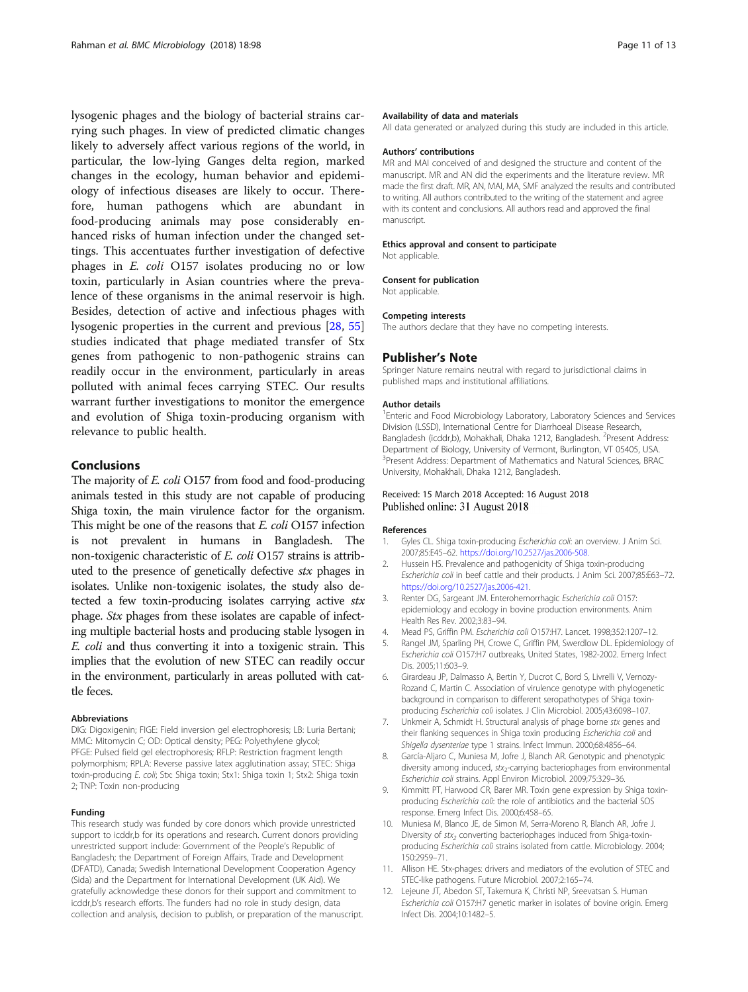<span id="page-10-0"></span>lysogenic phages and the biology of bacterial strains carrying such phages. In view of predicted climatic changes likely to adversely affect various regions of the world, in particular, the low-lying Ganges delta region, marked changes in the ecology, human behavior and epidemiology of infectious diseases are likely to occur. Therefore, human pathogens which are abundant in food-producing animals may pose considerably enhanced risks of human infection under the changed settings. This accentuates further investigation of defective phages in E. coli O157 isolates producing no or low toxin, particularly in Asian countries where the prevalence of these organisms in the animal reservoir is high. Besides, detection of active and infectious phages with lysogenic properties in the current and previous [\[28](#page-11-0), [55](#page-12-0)] studies indicated that phage mediated transfer of Stx genes from pathogenic to non-pathogenic strains can readily occur in the environment, particularly in areas polluted with animal feces carrying STEC. Our results warrant further investigations to monitor the emergence and evolution of Shiga toxin-producing organism with relevance to public health.

## Conclusions

The majority of *E. coli* O157 from food and food-producing animals tested in this study are not capable of producing Shiga toxin, the main virulence factor for the organism. This might be one of the reasons that E. coli O157 infection is not prevalent in humans in Bangladesh. The non-toxigenic characteristic of E. coli O157 strains is attributed to the presence of genetically defective stx phages in isolates. Unlike non-toxigenic isolates, the study also detected a few toxin-producing isolates carrying active stx phage. Stx phages from these isolates are capable of infecting multiple bacterial hosts and producing stable lysogen in E. coli and thus converting it into a toxigenic strain. This implies that the evolution of new STEC can readily occur in the environment, particularly in areas polluted with cattle feces.

#### Abbreviations

DIG: Digoxigenin; FIGE: Field inversion gel electrophoresis; LB: Luria Bertani; MMC: Mitomycin C; OD: Optical density; PEG: Polyethylene glycol; PFGE: Pulsed field gel electrophoresis; RFLP: Restriction fragment length polymorphism; RPLA: Reverse passive latex agglutination assay; STEC: Shiga toxin-producing E. coli; Stx: Shiga toxin; Stx1: Shiga toxin 1; Stx2: Shiga toxin 2; TNP: Toxin non-producing

#### Funding

This research study was funded by core donors which provide unrestricted support to icddr,b for its operations and research. Current donors providing unrestricted support include: Government of the People's Republic of Bangladesh; the Department of Foreign Affairs, Trade and Development (DFATD), Canada; Swedish International Development Cooperation Agency (Sida) and the Department for International Development (UK Aid). We gratefully acknowledge these donors for their support and commitment to icddr,b's research efforts. The funders had no role in study design, data collection and analysis, decision to publish, or preparation of the manuscript.

#### Availability of data and materials

All data generated or analyzed during this study are included in this article.

#### Authors' contributions

MR and MAI conceived of and designed the structure and content of the manuscript. MR and AN did the experiments and the literature review. MR made the first draft. MR, AN, MAI, MA, SMF analyzed the results and contributed to writing. All authors contributed to the writing of the statement and agree with its content and conclusions. All authors read and approved the final manuscript.

#### Ethics approval and consent to participate

Not applicable.

#### Consent for publication

Not applicable.

#### Competing interests

The authors declare that they have no competing interests.

#### Publisher's Note

Springer Nature remains neutral with regard to jurisdictional claims in published maps and institutional affiliations.

#### Author details

<sup>1</sup> Enteric and Food Microbiology Laboratory, Laboratory Sciences and Services Division (LSSD), International Centre for Diarrhoeal Disease Research, Bangladesh (icddr,b), Mohakhali, Dhaka 1212, Bangladesh. <sup>2</sup>Present Address Department of Biology, University of Vermont, Burlington, VT 05405, USA. <sup>3</sup>Present Address: Department of Mathematics and Natural Sciences, BRAC University, Mohakhali, Dhaka 1212, Bangladesh.

### Received: 15 March 2018 Accepted: 16 August 2018 Published online: 31 August 2018

#### References

- Gyles CL. Shiga toxin-producing Escherichia coli: an overview. J Anim Sci. 2007;85:E45–62. <https://doi.org/10.2527/jas.2006-508.>
- 2. Hussein HS. Prevalence and pathogenicity of Shiga toxin-producing Escherichia coli in beef cattle and their products. J Anim Sci. 2007;85:E63–72. <https://doi.org/10.2527/jas.2006-421>.
- 3. Renter DG, Sargeant JM. Enterohemorrhagic Escherichia coli O157: epidemiology and ecology in bovine production environments. Anim Health Res Rev. 2002;3:83–94.
- 4. Mead PS, Griffin PM. Escherichia coli O157:H7. Lancet. 1998;352:1207–12.
- 5. Rangel JM, Sparling PH, Crowe C, Griffin PM, Swerdlow DL. Epidemiology of Escherichia coli O157:H7 outbreaks, United States, 1982-2002. Emerg Infect Dis. 2005;11:603–9.
- 6. Girardeau JP, Dalmasso A, Bertin Y, Ducrot C, Bord S, Livrelli V, Vernozy-Rozand C, Martin C. Association of virulence genotype with phylogenetic background in comparison to different seropathotypes of Shiga toxinproducing Escherichia coli isolates. J Clin Microbiol. 2005;43:6098–107.
- 7. Unkmeir A, Schmidt H. Structural analysis of phage borne stx genes and their flanking sequences in Shiga toxin producing Escherichia coli and Shigella dysenteriae type 1 strains. Infect Immun. 2000;68:4856–64.
- 8. García-Aljaro C, Muniesa M, Jofre J, Blanch AR. Genotypic and phenotypic diversity among induced, stx<sub>2</sub>-carrying bacteriophages from environmental Escherichia coli strains. Appl Environ Microbiol. 2009;75:329–36.
- 9. Kimmitt PT, Harwood CR, Barer MR. Toxin gene expression by Shiga toxinproducing Escherichia coli: the role of antibiotics and the bacterial SOS response. Emerg Infect Dis. 2000;6:458–65.
- 10. Muniesa M, Blanco JE, de Simon M, Serra-Moreno R, Blanch AR, Jofre J. Diversity of  $stx_2$  converting bacteriophages induced from Shiga-toxinproducing Escherichia coli strains isolated from cattle. Microbiology. 2004; 150:2959–71.
- 11. Allison HE. Stx-phages: drivers and mediators of the evolution of STEC and STEC-like pathogens. Future Microbiol. 2007;2:165–74.
- 12. Lejeune JT, Abedon ST, Takemura K, Christi NP, Sreevatsan S. Human Escherichia coli O157:H7 genetic marker in isolates of bovine origin. Emerg Infect Dis. 2004;10:1482–5.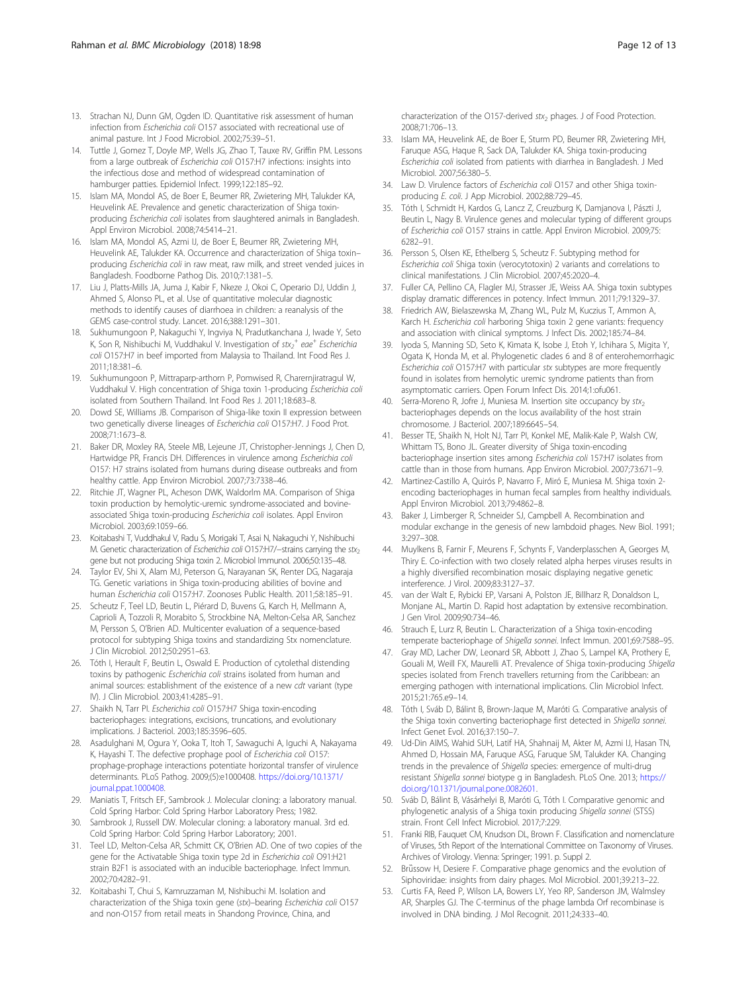- <span id="page-11-0"></span>13. Strachan NJ, Dunn GM, Ogden ID. Quantitative risk assessment of human infection from Escherichia coli O157 associated with recreational use of animal pasture. Int J Food Microbiol. 2002;75:39–51.
- 14. Tuttle J, Gomez T, Doyle MP, Wells JG, Zhao T, Tauxe RV, Griffin PM. Lessons from a large outbreak of Escherichia coli O157:H7 infections: insights into the infectious dose and method of widespread contamination of hamburger patties. Epidemiol Infect. 1999;122:185–92.
- 15. Islam MA, Mondol AS, de Boer E, Beumer RR, Zwietering MH, Talukder KA, Heuvelink AE. Prevalence and genetic characterization of Shiga toxinproducing Escherichia coli isolates from slaughtered animals in Bangladesh. Appl Environ Microbiol. 2008;74:5414–21.
- 16. Islam MA, Mondol AS, Azmi IJ, de Boer E, Beumer RR, Zwietering MH, Heuvelink AE, Talukder KA. Occurrence and characterization of Shiga toxin– producing Escherichia coli in raw meat, raw milk, and street vended juices in Bangladesh. Foodborne Pathog Dis. 2010;7:1381–5.
- 17. Liu J, Platts-Mills JA, Juma J, Kabir F, Nkeze J, Okoi C, Operario DJ, Uddin J, Ahmed S, Alonso PL, et al. Use of quantitative molecular diagnostic methods to identify causes of diarrhoea in children: a reanalysis of the GEMS case-control study. Lancet. 2016;388:1291–301.
- 18. Sukhumungoon P, Nakaguchi Y, Ingviya N, Pradutkanchana J, Iwade Y, Seto K, Son R, Nishibuchi M, Vuddhakul V. Investigation of  $\textit{stx}_{2}^{+}$  eae<sup>+</sup> Escherichia coli O157:H7 in beef imported from Malaysia to Thailand. Int Food Res J. 2011;18:381–6.
- 19. Sukhumungoon P, Mittraparp-arthorn P, Pomwised R, Charernjiratragul W, Vuddhakul V. High concentration of Shiga toxin 1-producing Escherichia coli isolated from Southern Thailand. Int Food Res J. 2011;18:683–8.
- 20. Dowd SE, Williams JB. Comparison of Shiga-like toxin II expression between two genetically diverse lineages of Escherichia coli O157:H7. J Food Prot. 2008;71:1673–8.
- 21. Baker DR, Moxley RA, Steele MB, Lejeune JT, Christopher-Jennings J, Chen D, Hartwidge PR, Francis DH. Differences in virulence among Escherichia coli O157: H7 strains isolated from humans during disease outbreaks and from healthy cattle. App Environ Microbiol. 2007;73:7338–46.
- 22. Ritchie JT, Wagner PL, Acheson DWK, Waldorlm MA. Comparison of Shiga toxin production by hemolytic-uremic syndrome-associated and bovineassociated Shiga toxin-producing Escherichia coli isolates. Appl Environ Microbiol. 2003;69:1059–66.
- 23. Koitabashi T, Vuddhakul V, Radu S, Morigaki T, Asai N, Nakaguchi Y, Nishibuchi M. Genetic characterization of Escherichia coli O157:H7/−strains carrying the stx<sub>2</sub> gene but not producing Shiga toxin 2. Microbiol Immunol. 2006;50:135–48.
- 24. Taylor EV, Shi X, Alam MJ, Peterson G, Narayanan SK, Renter DG, Nagaraja TG. Genetic variations in Shiga toxin-producing abilities of bovine and human Escherichia coli O157:H7. Zoonoses Public Health. 2011;58:185–91.
- 25. Scheutz F, Teel LD, Beutin L, Piérard D, Buvens G, Karch H, Mellmann A, Caprioli A, Tozzoli R, Morabito S, Strockbine NA, Melton-Celsa AR, Sanchez M, Persson S, O'Brien AD. Multicenter evaluation of a sequence-based protocol for subtyping Shiga toxins and standardizing Stx nomenclature. J Clin Microbiol. 2012;50:2951–63.
- 26. Tóth I, Herault F, Beutin L, Oswald E. Production of cytolethal distending toxins by pathogenic Escherichia coli strains isolated from human and animal sources: establishment of the existence of a new cdt variant (type IV). J Clin Microbiol. 2003;41:4285–91.
- 27. Shaikh N, Tarr Pl. Escherichia coli O157:H7 Shiga toxin-encoding bacteriophages: integrations, excisions, truncations, and evolutionary implications. J Bacteriol. 2003;185:3596–605.
- 28. Asadulghani M, Ogura Y, Ooka T, Itoh T, Sawaguchi A, Iguchi A, Nakayama K, Hayashi T. The defective prophage pool of Escherichia coli O157: prophage-prophage interactions potentiate horizontal transfer of virulence determinants. PLoS Pathog. 2009;(5):e1000408. [https://doi.org/10.1371/](https://doi.org/10.1371/journal.ppat.1000408) [journal.ppat.1000408.](https://doi.org/10.1371/journal.ppat.1000408)
- 29. Maniatis T, Fritsch EF, Sambrook J. Molecular cloning: a laboratory manual. Cold Spring Harbor: Cold Spring Harbor Laboratory Press; 1982.
- 30. Sambrook J, Russell DW. Molecular cloning: a laboratory manual. 3rd ed. Cold Spring Harbor: Cold Spring Harbor Laboratory; 2001.
- 31. Teel LD, Melton-Celsa AR, Schmitt CK, O'Brien AD. One of two copies of the gene for the Activatable Shiga toxin type 2d in Escherichia coli O91:H21 strain B2F1 is associated with an inducible bacteriophage. Infect Immun. 2002;70:4282–91.
- 32. Koitabashi T, Chui S, Kamruzzaman M, Nishibuchi M. Isolation and characterization of the Shiga toxin gene (stx)–bearing Escherichia coli O157 and non-O157 from retail meats in Shandong Province, China, and

characterization of the O157-derived stx<sub>2</sub> phages. J of Food Protection. 2008;71:706–13.

- 33. Islam MA, Heuvelink AE, de Boer E, Sturm PD, Beumer RR, Zwietering MH, Faruque ASG, Haque R, Sack DA, Talukder KA. Shiga toxin-producing Escherichia coli isolated from patients with diarrhea in Bangladesh. J Med Microbiol. 2007;56:380–5.
- 34. Law D. Virulence factors of Escherichia coli O157 and other Shiga toxinproducing E. coli. J App Microbiol. 2002;88:729–45.
- 35. Tóth I, Schmidt H, Kardos G, Lancz Z, Creuzburg K, Damjanova I, Pászti J, Beutin L, Nagy B. Virulence genes and molecular typing of different groups of Escherichia coli O157 strains in cattle. Appl Environ Microbiol. 2009;75: 6282–91.
- 36. Persson S, Olsen KE, Ethelberg S, Scheutz F. Subtyping method for Escherichia coli Shiga toxin (verocytotoxin) 2 variants and correlations to clinical manifestations. J Clin Microbiol. 2007;45:2020–4.
- 37. Fuller CA, Pellino CA, Flagler MJ, Strasser JE, Weiss AA. Shiga toxin subtypes display dramatic differences in potency. Infect Immun. 2011;79:1329–37.
- 38. Friedrich AW, Bielaszewska M, Zhang WL, Pulz M, Kuczius T, Ammon A, Karch H. Escherichia coli harboring Shiga toxin 2 gene variants: frequency and association with clinical symptoms. J Infect Dis. 2002;185:74–84.
- 39. Iyoda S, Manning SD, Seto K, Kimata K, Isobe J, Etoh Y, Ichihara S, Migita Y, Ogata K, Honda M, et al. Phylogenetic clades 6 and 8 of enterohemorrhagic Escherichia coli O157:H7 with particular stx subtypes are more frequently found in isolates from hemolytic uremic syndrome patients than from asymptomatic carriers. Open Forum Infect Dis. 2014;1:ofu061.
- 40. Serra-Moreno R, Jofre J, Muniesa M, Insertion site occupancy by  $stx_2$ bacteriophages depends on the locus availability of the host strain chromosome. J Bacteriol. 2007;189:6645–54.
- 41. Besser TE, Shaikh N, Holt NJ, Tarr PI, Konkel ME, Malik-Kale P, Walsh CW, Whittam TS, Bono JL. Greater diversity of Shiga toxin-encoding bacteriophage insertion sites among Escherichia coli 157:H7 isolates from cattle than in those from humans. App Environ Microbiol. 2007;73:671–9.
- 42. Martinez-Castillo A, Quirós P, Navarro F, Miró E, Muniesa M. Shiga toxin 2 encoding bacteriophages in human fecal samples from healthy individuals. Appl Environ Microbiol. 2013;79:4862–8.
- Baker J, Limberger R, Schneider SJ, Campbell A. Recombination and modular exchange in the genesis of new lambdoid phages. New Biol. 1991; 3:297–308.
- 44. Muylkens B, Farnir F, Meurens F, Schynts F, Vanderplasschen A, Georges M, Thiry E. Co-infection with two closely related alpha herpes viruses results in a highly diversified recombination mosaic displaying negative genetic interference. J Virol. 2009;83:3127–37.
- van der Walt E, Rybicki EP, Varsani A, Polston JE, Billharz R, Donaldson L, Monjane AL, Martin D. Rapid host adaptation by extensive recombination. J Gen Virol. 2009;90:734–46.
- 46. Strauch E, Lurz R, Beutin L. Characterization of a Shiga toxin-encoding temperate bacteriophage of Shigella sonnei. Infect Immun. 2001;69:7588-95.
- 47. Gray MD, Lacher DW, Leonard SR, Abbott J, Zhao S, Lampel KA, Prothery E, Gouali M, Weill FX, Maurelli AT. Prevalence of Shiga toxin-producing Shigella species isolated from French travellers returning from the Caribbean: an emerging pathogen with international implications. Clin Microbiol Infect. 2015;21:765.e9–14.
- 48. Tóth I, Sváb D, Bálint B, Brown-Jaque M, Maróti G. Comparative analysis of the Shiga toxin converting bacteriophage first detected in Shigella sonnei. Infect Genet Evol. 2016;37:150–7.
- 49. Ud-Din AIMS, Wahid SUH, Latif HA, Shahnaij M, Akter M, Azmi IJ, Hasan TN, Ahmed D, Hossain MA, Faruque ASG, Faruque SM, Talukder KA. Changing trends in the prevalence of Shigella species: emergence of multi-drug resistant Shigella sonnei biotype g in Bangladesh. PLoS One. 2013; [https://](https://doi.org/10.1371/journal.pone.0082601) [doi.org/10.1371/journal.pone.0082601.](https://doi.org/10.1371/journal.pone.0082601)
- 50. Sváb D, Bálint B, Vásárhelyi B, Maróti G, Tóth I. Comparative genomic and phylogenetic analysis of a Shiga toxin producing Shigella sonnei (STSS) strain. Front Cell Infect Microbiol. 2017;7:229.
- 51. Franki RIB, Fauquet CM, Knudson DL, Brown F. Classification and nomenclature of Viruses, 5th Report of the International Committee on Taxonomy of Viruses. Archives of Virology. Vienna: Springer; 1991. p. Suppl 2.
- 52. Brüssow H, Desiere F. Comparative phage genomics and the evolution of Siphoviridae: insights from dairy phages. Mol Microbiol. 2001;39:213–22.
- 53. Curtis FA, Reed P, Wilson LA, Bowers LY, Yeo RP, Sanderson JM, Walmsley AR, Sharples GJ. The C-terminus of the phage lambda Orf recombinase is involved in DNA binding. J Mol Recognit. 2011;24:333–40.